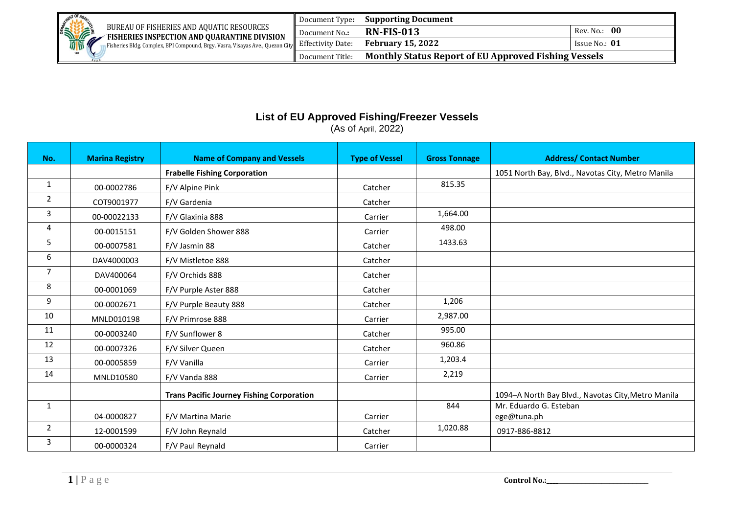

## **List of EU Approved Fishing/Freezer Vessels**

(As of April, 2022)

| No.            | <b>Marina Registry</b> | <b>Name of Company and Vessels</b>               | <b>Type of Vessel</b> | <b>Gross Tonnage</b> | <b>Address/ Contact Number</b>                     |
|----------------|------------------------|--------------------------------------------------|-----------------------|----------------------|----------------------------------------------------|
|                |                        | <b>Frabelle Fishing Corporation</b>              |                       |                      | 1051 North Bay, Blvd., Navotas City, Metro Manila  |
| $\mathbf{1}$   | 00-0002786             | F/V Alpine Pink                                  | Catcher               | 815.35               |                                                    |
| $\overline{2}$ | COT9001977             | F/V Gardenia                                     | Catcher               |                      |                                                    |
| 3              | 00-00022133            | F/V Glaxinia 888                                 | Carrier               | 1,664.00             |                                                    |
| 4              | 00-0015151             | F/V Golden Shower 888                            | Carrier               | 498.00               |                                                    |
| 5              | 00-0007581             | F/V Jasmin 88                                    | Catcher               | 1433.63              |                                                    |
| 6              | DAV4000003             | F/V Mistletoe 888                                | Catcher               |                      |                                                    |
| 7              | DAV400064              | F/V Orchids 888                                  | Catcher               |                      |                                                    |
| 8              | 00-0001069             | F/V Purple Aster 888                             | Catcher               |                      |                                                    |
| 9              | 00-0002671             | F/V Purple Beauty 888                            | Catcher               | 1,206                |                                                    |
| 10             | MNLD010198             | F/V Primrose 888                                 | Carrier               | 2,987.00             |                                                    |
| 11             | 00-0003240             | F/V Sunflower 8                                  | Catcher               | 995.00               |                                                    |
| 12             | 00-0007326             | F/V Silver Queen                                 | Catcher               | 960.86               |                                                    |
| 13             | 00-0005859             | F/V Vanilla                                      | Carrier               | 1,203.4              |                                                    |
| 14             | MNLD10580              | F/V Vanda 888                                    | Carrier               | 2,219                |                                                    |
|                |                        | <b>Trans Pacific Journey Fishing Corporation</b> |                       |                      | 1094-A North Bay Blvd., Navotas City, Metro Manila |
| $\mathbf{1}$   |                        |                                                  |                       | 844                  | Mr. Eduardo G. Esteban                             |
|                | 04-0000827             | F/V Martina Marie                                | Carrier               |                      | ege@tuna.ph                                        |
| $\overline{2}$ | 12-0001599             | F/V John Reynald                                 | Catcher               | 1,020.88             | 0917-886-8812                                      |
| 3              | 00-0000324             | F/V Paul Reynald                                 | Carrier               |                      |                                                    |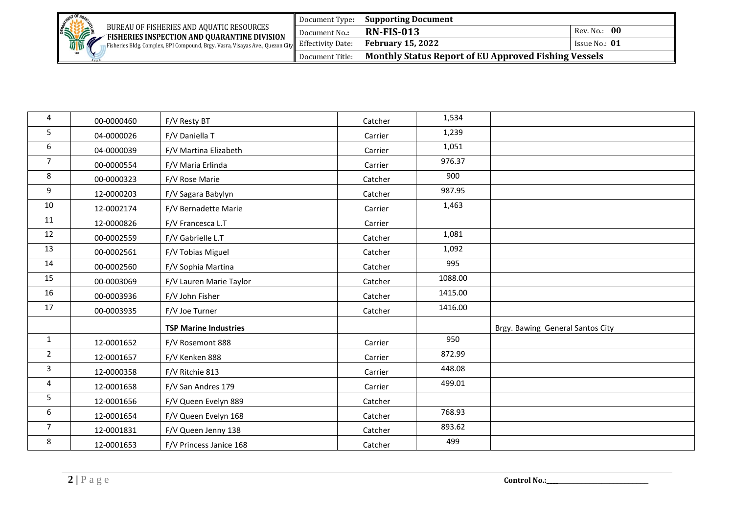| <b>RATIONAL PROPERTY</b>                                                                        | Document Type:  | <b>Supporting Document</b>                                  |               |
|-------------------------------------------------------------------------------------------------|-----------------|-------------------------------------------------------------|---------------|
| BUREAU OF FISHERIES AND AOUATIC RESOURCES<br>FISHERIES INSPECTION AND QUARANTINE DIVISION       | Document No.:   | <b>RN-FIS-013</b>                                           | Rev. No.: 00  |
| Fisheries Bldg. Complex, BPI Compound, Brgy. Vasra, Visayas Ave., Quezon City Effectivity Date: |                 | <b>February 15, 2022</b>                                    | Issue No.: 01 |
|                                                                                                 | Document Title: | <b>Monthly Status Report of EU Approved Fishing Vessels</b> |               |

| 4              | 00-0000460 | F/V Resty BT                 | Catcher | 1,534   |                                  |
|----------------|------------|------------------------------|---------|---------|----------------------------------|
| 5              | 04-0000026 | F/V Daniella T               | Carrier | 1,239   |                                  |
| 6              | 04-0000039 | F/V Martina Elizabeth        | Carrier | 1,051   |                                  |
| $\overline{7}$ | 00-0000554 | F/V Maria Erlinda            | Carrier | 976.37  |                                  |
| 8              | 00-0000323 | F/V Rose Marie               | Catcher | 900     |                                  |
| 9              | 12-0000203 | F/V Sagara Babylyn           | Catcher | 987.95  |                                  |
| 10             | 12-0002174 | F/V Bernadette Marie         | Carrier | 1,463   |                                  |
| 11             | 12-0000826 | F/V Francesca L.T            | Carrier |         |                                  |
| 12             | 00-0002559 | F/V Gabrielle L.T            | Catcher | 1,081   |                                  |
| 13             | 00-0002561 | F/V Tobias Miguel            | Catcher | 1,092   |                                  |
| 14             | 00-0002560 | F/V Sophia Martina           | Catcher | 995     |                                  |
| 15             | 00-0003069 | F/V Lauren Marie Taylor      | Catcher | 1088.00 |                                  |
| 16             | 00-0003936 | F/V John Fisher              | Catcher | 1415.00 |                                  |
| 17             | 00-0003935 | F/V Joe Turner               | Catcher | 1416.00 |                                  |
|                |            | <b>TSP Marine Industries</b> |         |         | Brgy. Bawing General Santos City |
| $\mathbf{1}$   | 12-0001652 | F/V Rosemont 888             | Carrier | 950     |                                  |
| $\overline{2}$ | 12-0001657 | F/V Kenken 888               | Carrier | 872.99  |                                  |
| 3              | 12-0000358 | F/V Ritchie 813              | Carrier | 448.08  |                                  |
| 4              | 12-0001658 | F/V San Andres 179           | Carrier | 499.01  |                                  |
| $5\phantom{.}$ | 12-0001656 | F/V Queen Evelyn 889         | Catcher |         |                                  |
| 6              | 12-0001654 | F/V Queen Evelyn 168         | Catcher | 768.93  |                                  |
| $\overline{7}$ | 12-0001831 | F/V Queen Jenny 138          | Catcher | 893.62  |                                  |
| 8              | 12-0001653 | F/V Princess Janice 168      | Catcher | 499     |                                  |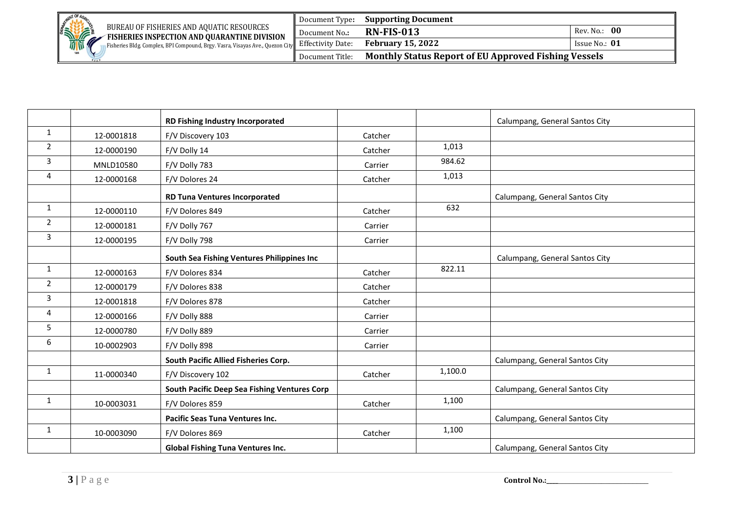| <b>MENT OF</b>                                                                                                  | Document Type:  | <b>Supporting Document</b>                                  |                 |  |
|-----------------------------------------------------------------------------------------------------------------|-----------------|-------------------------------------------------------------|-----------------|--|
| BUREAU OF FISHERIES AND AOUATIC RESOURCES<br>FISHERIES INSPECTION AND QUARANTINE DIVISION                       | Document No.:   | <b>RN-FIS-013</b>                                           | Rev. No.: 00    |  |
| <b>STATE</b><br>Fisheries Bldg. Complex, BPI Compound, Brgy. Vasra, Visayas Ave., Quezon City Effectivity Date: |                 | <b>February 15, 2022</b>                                    | Issue No.: $01$ |  |
| 1898                                                                                                            | Document Title: | <b>Monthly Status Report of EU Approved Fishing Vessels</b> |                 |  |

|                |            | RD Fishing Industry Incorporated             |         |         | Calumpang, General Santos City |
|----------------|------------|----------------------------------------------|---------|---------|--------------------------------|
| $\mathbf{1}$   | 12-0001818 | F/V Discovery 103                            | Catcher |         |                                |
| $\overline{2}$ | 12-0000190 | F/V Dolly 14                                 | Catcher | 1,013   |                                |
| 3              | MNLD10580  | F/V Dolly 783                                | Carrier | 984.62  |                                |
| 4              | 12-0000168 | F/V Dolores 24                               | Catcher | 1,013   |                                |
|                |            | <b>RD Tuna Ventures Incorporated</b>         |         |         | Calumpang, General Santos City |
| $\mathbf{1}$   | 12-0000110 | F/V Dolores 849                              | Catcher | 632     |                                |
| $\overline{2}$ | 12-0000181 | F/V Dolly 767                                | Carrier |         |                                |
| $\mathbf{3}$   | 12-0000195 | F/V Dolly 798                                | Carrier |         |                                |
|                |            | South Sea Fishing Ventures Philippines Inc   |         |         | Calumpang, General Santos City |
| $\mathbf{1}$   | 12-0000163 | F/V Dolores 834                              | Catcher | 822.11  |                                |
| $\overline{2}$ | 12-0000179 | F/V Dolores 838                              | Catcher |         |                                |
| $\mathbf{3}$   | 12-0001818 | F/V Dolores 878                              | Catcher |         |                                |
| 4              | 12-0000166 | F/V Dolly 888                                | Carrier |         |                                |
| 5              | 12-0000780 | F/V Dolly 889                                | Carrier |         |                                |
| 6              | 10-0002903 | F/V Dolly 898                                | Carrier |         |                                |
|                |            | South Pacific Allied Fisheries Corp.         |         |         | Calumpang, General Santos City |
| $\mathbf{1}$   | 11-0000340 | F/V Discovery 102                            | Catcher | 1,100.0 |                                |
|                |            | South Pacific Deep Sea Fishing Ventures Corp |         |         | Calumpang, General Santos City |
| $\mathbf{1}$   | 10-0003031 | F/V Dolores 859                              | Catcher | 1,100   |                                |
|                |            | Pacific Seas Tuna Ventures Inc.              |         |         | Calumpang, General Santos City |
| $\mathbf{1}$   | 10-0003090 | F/V Dolores 869                              | Catcher | 1,100   |                                |
|                |            | <b>Global Fishing Tuna Ventures Inc.</b>     |         |         | Calumpang, General Santos City |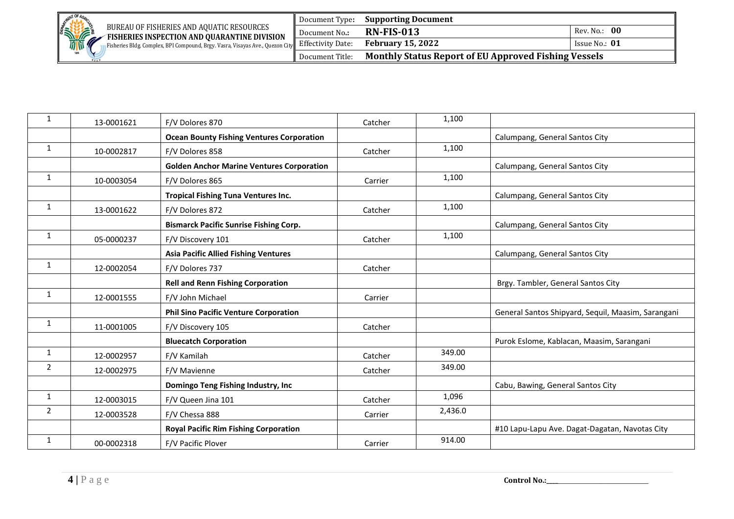| <b>RATIONAL PROPERTY</b>                                                                         | Document Type:  | <b>Supporting Document</b>                                  |                 |
|--------------------------------------------------------------------------------------------------|-----------------|-------------------------------------------------------------|-----------------|
| BUREAU OF FISHERIES AND AOUATIC RESOURCES<br><b>FISHERIES INSPECTION AND QUARANTINE DIVISION</b> | Document No.:   | <b>RN-FIS-013</b>                                           | Rev. No.: 00    |
| Fisheries Bldg. Complex, BPI Compound, Brgy. Vasra, Visayas Ave., Quezon City Effectivity Date:  |                 | <b>February 15, 2022</b>                                    | Issue No.: $01$ |
|                                                                                                  | Document Title: | <b>Monthly Status Report of EU Approved Fishing Vessels</b> |                 |

| 1            | 13-0001621 | F/V Dolores 870                                  | Catcher | 1,100   |                                                    |
|--------------|------------|--------------------------------------------------|---------|---------|----------------------------------------------------|
|              |            | <b>Ocean Bounty Fishing Ventures Corporation</b> |         |         | Calumpang, General Santos City                     |
| $\mathbf{1}$ | 10-0002817 | F/V Dolores 858                                  | Catcher | 1,100   |                                                    |
|              |            | <b>Golden Anchor Marine Ventures Corporation</b> |         |         | Calumpang, General Santos City                     |
| 1            | 10-0003054 | F/V Dolores 865                                  | Carrier | 1,100   |                                                    |
|              |            | <b>Tropical Fishing Tuna Ventures Inc.</b>       |         |         | Calumpang, General Santos City                     |
| 1            | 13-0001622 | F/V Dolores 872                                  | Catcher | 1,100   |                                                    |
|              |            | <b>Bismarck Pacific Sunrise Fishing Corp.</b>    |         |         | Calumpang, General Santos City                     |
| 1            | 05-0000237 | F/V Discovery 101                                | Catcher | 1,100   |                                                    |
|              |            | <b>Asia Pacific Allied Fishing Ventures</b>      |         |         | Calumpang, General Santos City                     |
| $\mathbf{1}$ | 12-0002054 | F/V Dolores 737                                  | Catcher |         |                                                    |
|              |            | <b>Rell and Renn Fishing Corporation</b>         |         |         | Brgy. Tambler, General Santos City                 |
| 1            | 12-0001555 | F/V John Michael                                 | Carrier |         |                                                    |
|              |            | <b>Phil Sino Pacific Venture Corporation</b>     |         |         | General Santos Shipyard, Sequil, Maasim, Sarangani |
| $\mathbf{1}$ | 11-0001005 | F/V Discovery 105                                | Catcher |         |                                                    |
|              |            | <b>Bluecatch Corporation</b>                     |         |         | Purok Eslome, Kablacan, Maasim, Sarangani          |
| $\mathbf{1}$ | 12-0002957 | F/V Kamilah                                      | Catcher | 349.00  |                                                    |
| 2            | 12-0002975 | F/V Mavienne                                     | Catcher | 349.00  |                                                    |
|              |            | Domingo Teng Fishing Industry, Inc               |         |         | Cabu, Bawing, General Santos City                  |
| $\mathbf{1}$ | 12-0003015 | F/V Queen Jina 101                               | Catcher | 1,096   |                                                    |
| 2            | 12-0003528 | F/V Chessa 888                                   | Carrier | 2,436.0 |                                                    |
|              |            | <b>Royal Pacific Rim Fishing Corporation</b>     |         |         | #10 Lapu-Lapu Ave. Dagat-Dagatan, Navotas City     |
| $\mathbf{1}$ | 00-0002318 | F/V Pacific Plover                               | Carrier | 914.00  |                                                    |